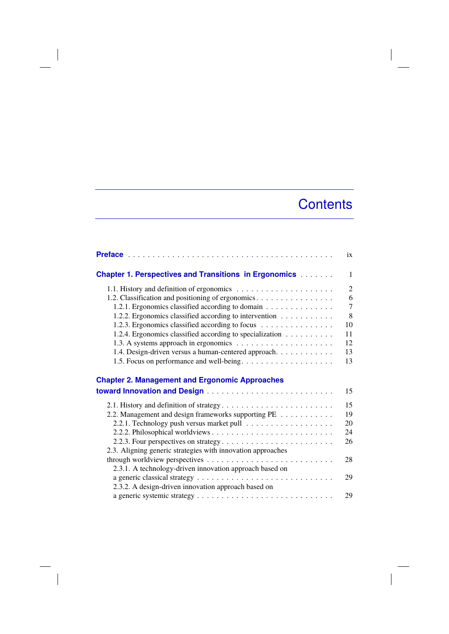## **Contents**

|                                                               | ix             |
|---------------------------------------------------------------|----------------|
| <b>Chapter 1. Perspectives and Transitions in Ergonomics </b> | $\mathbf{1}$   |
|                                                               | $\overline{2}$ |
| 1.2. Classification and positioning of ergonomics.            | 6              |
| 1.2.1. Ergonomics classified according to domain              | $\overline{7}$ |
| 1.2.2. Ergonomics classified according to intervention        | 8              |
| 1.2.3. Ergonomics classified according to focus               | 10             |
| 1.2.4. Ergonomics classified according to specialization      | 11             |
|                                                               | 12             |
| 1.4. Design-driven versus a human-centered approach.          | 13             |
|                                                               | 13             |
|                                                               |                |
| <b>Chapter 2. Management and Ergonomic Approaches</b>         |                |
|                                                               | 15             |
|                                                               | 15             |
| 2.2. Management and design frameworks supporting PE           | 19             |
|                                                               | 20             |
|                                                               | 24             |
| 2.2.3. Four perspectives on strategy                          | 26             |
| 2.3. Aligning generic strategies with innovation approaches   |                |
|                                                               | 28             |
| 2.3.1. A technology-driven innovation approach based on       |                |
|                                                               | 29             |
| 2.3.2. A design-driven innovation approach based on           |                |
|                                                               | 29             |

 $\overline{\phantom{a}}$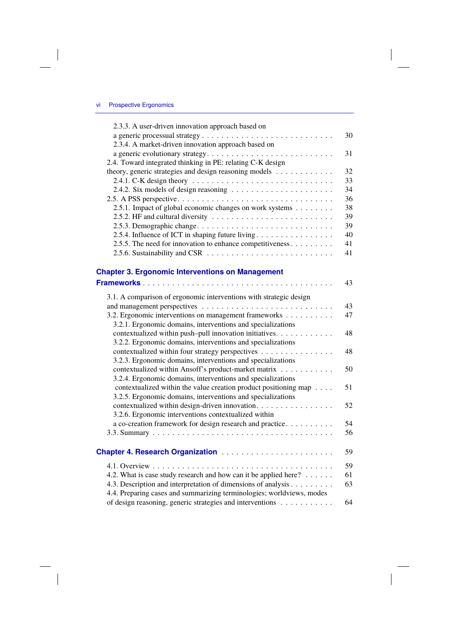| 2.3.3. A user-driven innovation approach based on          |    |
|------------------------------------------------------------|----|
|                                                            | 30 |
| 2.3.4. A market-driven innovation approach based on        |    |
|                                                            | 31 |
| 2.4. Toward integrated thinking in PE: relating C-K design |    |
| theory, generic strategies and design reasoning models     | 32 |
|                                                            | 33 |
|                                                            | 34 |
|                                                            | 36 |
| 2.5.1. Impact of global economic changes on work systems   | 38 |
|                                                            | 39 |
|                                                            | 39 |
| 2.5.4. Influence of ICT in shaping future living           | 40 |
| 2.5.5. The need for innovation to enhance competitiveness  | 41 |
|                                                            | 41 |
|                                                            |    |

## **Chapter 3. Ergonomic Interventions on Management**

|                                                                       | 43 |
|-----------------------------------------------------------------------|----|
| 3.1. A comparison of ergonomic interventions with strategic design    |    |
|                                                                       | 43 |
| 3.2. Ergonomic interventions on management frameworks                 | 47 |
| 3.2.1. Ergonomic domains, interventions and specializations           |    |
| contextualized within push-pull innovation initiatives.               | 48 |
| 3.2.2. Ergonomic domains, interventions and specializations           |    |
| contextualized within four strategy perspectives                      | 48 |
| 3.2.3. Ergonomic domains, interventions and specializations           |    |
| contextualized within Ansoff's product-market matrix                  | 50 |
| 3.2.4. Ergonomic domains, interventions and specializations           |    |
| contextualized within the value creation product positioning map      | 51 |
| 3.2.5. Ergonomic domains, interventions and specializations           |    |
| contextualized within design-driven innovation.                       | 52 |
| 3.2.6. Ergonomic interventions contextualized within                  |    |
| a co-creation framework for design research and practice              | 54 |
|                                                                       | 56 |
| <b>Chapter 4. Research Organization </b>                              | 59 |
|                                                                       | 59 |
| 4.2. What is case study research and how can it be applied here?      | 61 |
| 4.3. Description and interpretation of dimensions of analysis         | 63 |
| 4.4. Preparing cases and summarizing terminologies; worldviews, modes |    |
| of design reasoning, generic strategies and interventions             | 64 |
|                                                                       |    |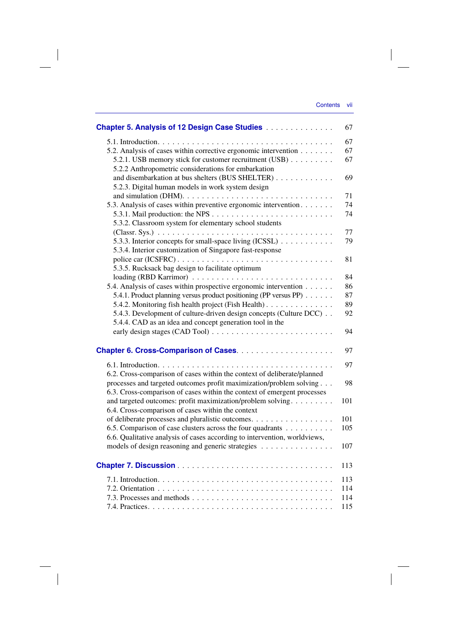| <b>Chapter 5. Analysis of 12 Design Case Studies </b>                                                            | 67  |
|------------------------------------------------------------------------------------------------------------------|-----|
|                                                                                                                  | 67  |
| 5.2. Analysis of cases within corrective ergonomic intervention                                                  | 67  |
| 5.2.1. USB memory stick for customer recruitment (USB)                                                           | 67  |
| 5.2.2 Anthropometric considerations for embarkation                                                              |     |
| and disembarkation at bus shelters (BUS SHELTER)                                                                 | 69  |
| 5.2.3. Digital human models in work system design                                                                |     |
|                                                                                                                  | 71  |
| 5.3. Analysis of cases within preventive ergonomic intervention.                                                 | 74  |
|                                                                                                                  | 74  |
| 5.3.2. Classroom system for elementary school students                                                           |     |
|                                                                                                                  | 77  |
| 5.3.3. Interior concepts for small-space living (ICSSL)                                                          | 79  |
| 5.3.4. Interior customization of Singapore fast-response                                                         |     |
| police car (ICSFRC)                                                                                              | 81  |
| 5.3.5. Rucksack bag design to facilitate optimum                                                                 |     |
|                                                                                                                  | 84  |
| 5.4. Analysis of cases within prospective ergonomic intervention                                                 | 86  |
| 5.4.1. Product planning versus product positioning (PP versus PP)                                                | 87  |
| 5.4.2. Monitoring fish health project (Fish Health).                                                             | 89  |
| 5.4.3. Development of culture-driven design concepts (Culture DCC)                                               | 92  |
| 5.4.4. CAD as an idea and concept generation tool in the                                                         |     |
|                                                                                                                  | 94  |
|                                                                                                                  | 97  |
|                                                                                                                  |     |
|                                                                                                                  | 97  |
| 6.2. Cross-comparison of cases within the context of deliberate/planned                                          |     |
| processes and targeted outcomes profit maximization/problem solving                                              | 98  |
| 6.3. Cross-comparison of cases within the context of emergent processes                                          |     |
| and targeted outcomes: profit maximization/problem solving.<br>6.4. Cross-comparison of cases within the context | 101 |
| of deliberate processes and pluralistic outcomes.                                                                | 101 |
| 6.5. Comparison of case clusters across the four quadrants                                                       | 105 |
| 6.6. Qualitative analysis of cases according to intervention, worldviews,                                        |     |
| models of design reasoning and generic strategies                                                                | 107 |
|                                                                                                                  |     |
|                                                                                                                  | 113 |
|                                                                                                                  | 113 |
|                                                                                                                  | 114 |
|                                                                                                                  | 114 |
|                                                                                                                  | 115 |